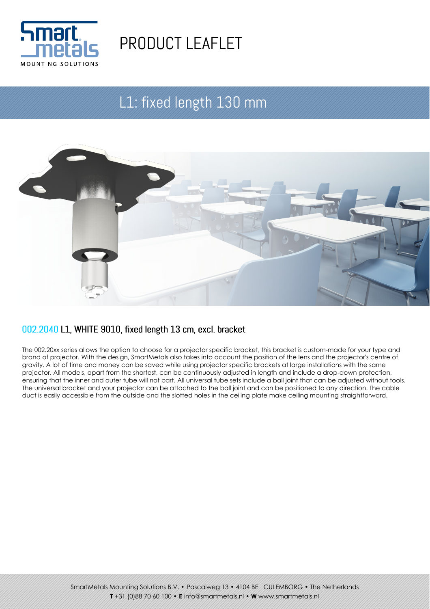

# PRODUCT LEAFLET

## L1: fixed length 130 mm



#### 002.2040 L1, WHITE 9010, fixed length 13 cm, excl. bracket

The 002.20xx series allows the option to choose for a projector specific bracket, this bracket is custom-made for your type and brand of projector. With the design, SmartMetals also takes into account the position of the lens and the projector's centre of gravity. A lot of time and money can be saved while using projector specific brackets at large installations with the same projector. All models, apart from the shortest, can be continuously adjusted in length and include a drop-down protection, ensuring that the inner and outer tube will not part. All universal tube sets include a ball joint that can be adjusted without tools. The universal bracket and your projector can be attached to the ball joint and can be positioned to any direction. The cable duct is easily accessible from the outside and the slotted holes in the ceiling plate make ceiling mounting straightforward.